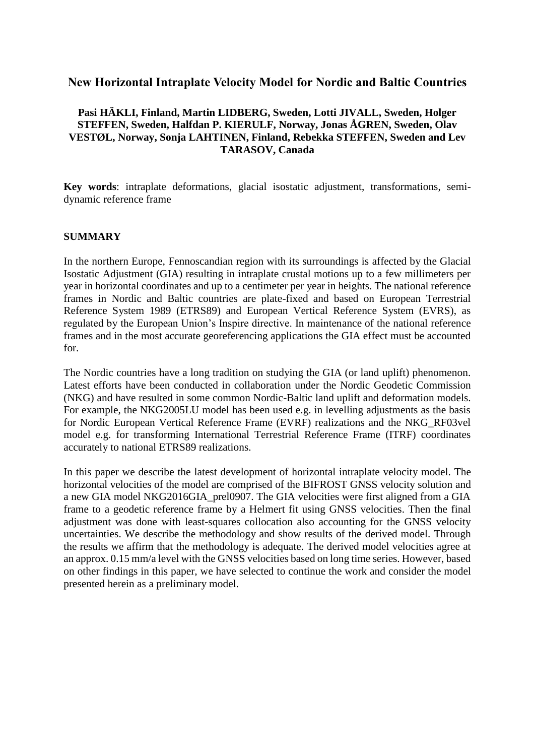## **New Horizontal Intraplate Velocity Model for Nordic and Baltic Countries**

## **Pasi HÄKLI, Finland, Martin LIDBERG, Sweden, Lotti JIVALL, Sweden, Holger STEFFEN, Sweden, Halfdan P. KIERULF, Norway, Jonas ÅGREN, Sweden, Olav VESTØL, Norway, Sonja LAHTINEN, Finland, Rebekka STEFFEN, Sweden and Lev TARASOV, Canada**

**Key words**: intraplate deformations, glacial isostatic adjustment, transformations, semidynamic reference frame

#### **SUMMARY**

In the northern Europe, Fennoscandian region with its surroundings is affected by the Glacial Isostatic Adjustment (GIA) resulting in intraplate crustal motions up to a few millimeters per year in horizontal coordinates and up to a centimeter per year in heights. The national reference frames in Nordic and Baltic countries are plate-fixed and based on European Terrestrial Reference System 1989 (ETRS89) and European Vertical Reference System (EVRS), as regulated by the European Union's Inspire directive. In maintenance of the national reference frames and in the most accurate georeferencing applications the GIA effect must be accounted for.

The Nordic countries have a long tradition on studying the GIA (or land uplift) phenomenon. Latest efforts have been conducted in collaboration under the Nordic Geodetic Commission (NKG) and have resulted in some common Nordic-Baltic land uplift and deformation models. For example, the NKG2005LU model has been used e.g. in levelling adjustments as the basis for Nordic European Vertical Reference Frame (EVRF) realizations and the NKG\_RF03vel model e.g. for transforming International Terrestrial Reference Frame (ITRF) coordinates accurately to national ETRS89 realizations.

In this paper we describe the latest development of horizontal intraplate velocity model. The horizontal velocities of the model are comprised of the BIFROST GNSS velocity solution and a new GIA model NKG2016GIA\_prel0907. The GIA velocities were first aligned from a GIA frame to a geodetic reference frame by a Helmert fit using GNSS velocities. Then the final adjustment was done with least-squares collocation also accounting for the GNSS velocity uncertainties. We describe the methodology and show results of the derived model. Through the results we affirm that the methodology is adequate. The derived model velocities agree at an approx. 0.15 mm/a level with the GNSS velocities based on long time series. However, based on other findings in this paper, we have selected to continue the work and consider the model presented herein as a preliminary model.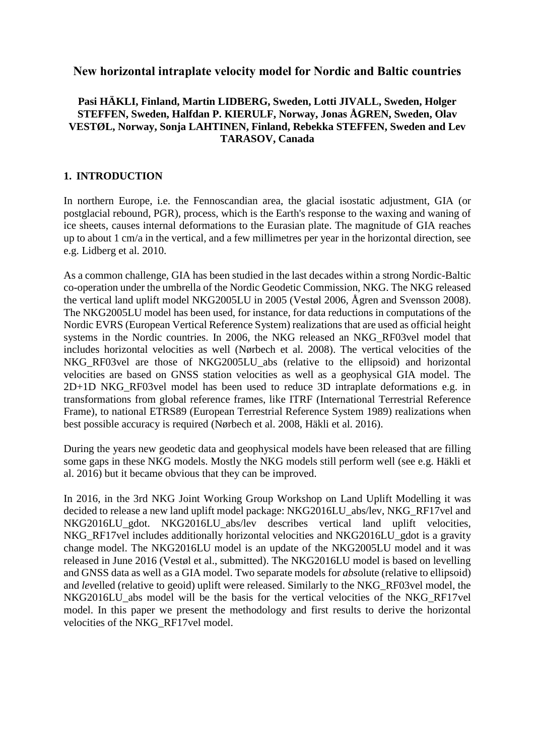## **New horizontal intraplate velocity model for Nordic and Baltic countries**

## **Pasi HÄKLI, Finland, Martin LIDBERG, Sweden, Lotti JIVALL, Sweden, Holger STEFFEN, Sweden, Halfdan P. KIERULF, Norway, Jonas ÅGREN, Sweden, Olav VESTØL, Norway, Sonja LAHTINEN, Finland, Rebekka STEFFEN, Sweden and Lev TARASOV, Canada**

### **1. INTRODUCTION**

In northern Europe, i.e. the Fennoscandian area, the glacial isostatic adjustment, GIA (or postglacial rebound, PGR), process, which is the Earth's response to the waxing and waning of ice sheets, causes internal deformations to the Eurasian plate. The magnitude of GIA reaches up to about 1 cm/a in the vertical, and a few millimetres per year in the horizontal direction, see e.g. Lidberg et al. 2010.

As a common challenge, GIA has been studied in the last decades within a strong Nordic-Baltic co-operation under the umbrella of the Nordic Geodetic Commission, NKG. The NKG released the vertical land uplift model NKG2005LU in 2005 (Vestøl 2006, Ågren and Svensson 2008). The NKG2005LU model has been used, for instance, for data reductions in computations of the Nordic EVRS (European Vertical Reference System) realizations that are used as official height systems in the Nordic countries. In 2006, the NKG released an NKG\_RF03vel model that includes horizontal velocities as well (Nørbech et al. 2008). The vertical velocities of the NKG\_RF03vel are those of NKG2005LU\_abs (relative to the ellipsoid) and horizontal velocities are based on GNSS station velocities as well as a geophysical GIA model. The 2D+1D NKG\_RF03vel model has been used to reduce 3D intraplate deformations e.g. in transformations from global reference frames, like ITRF (International Terrestrial Reference Frame), to national ETRS89 (European Terrestrial Reference System 1989) realizations when best possible accuracy is required (Nørbech et al. 2008, Häkli et al. 2016).

During the years new geodetic data and geophysical models have been released that are filling some gaps in these NKG models. Mostly the NKG models still perform well (see e.g. Häkli et al. 2016) but it became obvious that they can be improved.

In 2016, in the 3rd NKG Joint Working Group Workshop on Land Uplift Modelling it was decided to release a new land uplift model package: NKG2016LU\_abs/lev, NKG\_RF17vel and NKG2016LU\_gdot. NKG2016LU\_abs/lev describes vertical land uplift velocities, NKG RF17vel includes additionally horizontal velocities and NKG2016LU gdot is a gravity change model. The NKG2016LU model is an update of the NKG2005LU model and it was released in June 2016 (Vestøl et al., submitted). The NKG2016LU model is based on levelling and GNSS data as well as a GIA model. Two separate models for *abs*olute (relative to ellipsoid) and *lev*elled (relative to geoid) uplift were released. Similarly to the NKG\_RF03vel model, the NKG2016LU\_abs model will be the basis for the vertical velocities of the NKG\_RF17vel model. In this paper we present the methodology and first results to derive the horizontal velocities of the NKG\_RF17vel model.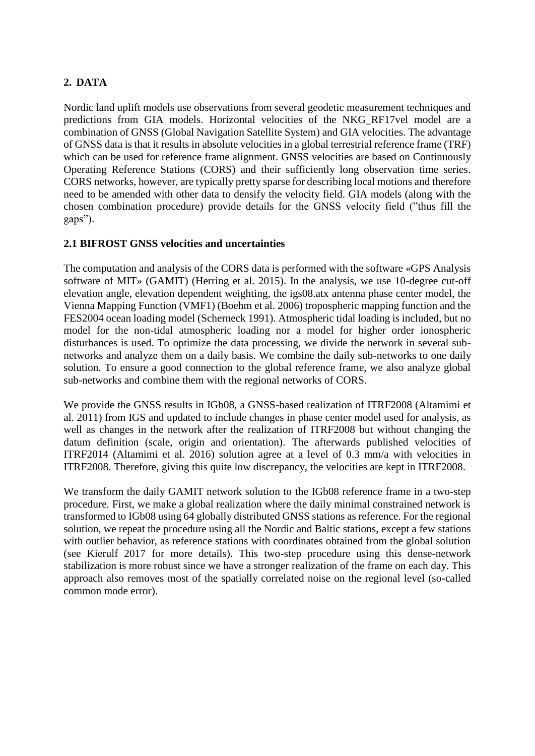# **2. DATA**

Nordic land uplift models use observations from several geodetic measurement techniques and predictions from GIA models. Horizontal velocities of the NKG\_RF17vel model are a combination of GNSS (Global Navigation Satellite System) and GIA velocities. The advantage of GNSS data is that it results in absolute velocities in a global terrestrial reference frame (TRF) which can be used for reference frame alignment. GNSS velocities are based on Continuously Operating Reference Stations (CORS) and their sufficiently long observation time series. CORS networks, however, are typically pretty sparse for describing local motions and therefore need to be amended with other data to densify the velocity field. GIA models (along with the chosen combination procedure) provide details for the GNSS velocity field ("thus fill the gaps").

## **2.1 BIFROST GNSS velocities and uncertainties**

The computation and analysis of the CORS data is performed with the software «GPS Analysis software of MIT» (GAMIT) (Herring et al. 2015). In the analysis, we use 10-degree cut-off elevation angle, elevation dependent weighting, the igs08.atx antenna phase center model, the Vienna Mapping Function (VMF1) (Boehm et al. 2006) tropospheric mapping function and the FES2004 ocean loading model (Scherneck 1991). Atmospheric tidal loading is included, but no model for the non-tidal atmospheric loading nor a model for higher order ionospheric disturbances is used. To optimize the data processing, we divide the network in several subnetworks and analyze them on a daily basis. We combine the daily sub-networks to one daily solution. To ensure a good connection to the global reference frame, we also analyze global sub-networks and combine them with the regional networks of CORS.

We provide the GNSS results in IGb08, a GNSS-based realization of ITRF2008 (Altamimi et al. 2011) from IGS and updated to include changes in phase center model used for analysis, as well as changes in the network after the realization of ITRF2008 but without changing the datum definition (scale, origin and orientation). The afterwards published velocities of ITRF2014 (Altamimi et al. 2016) solution agree at a level of 0.3 mm/a with velocities in ITRF2008. Therefore, giving this quite low discrepancy, the velocities are kept in ITRF2008.

We transform the daily GAMIT network solution to the IGb08 reference frame in a two-step procedure. First, we make a global realization where the daily minimal constrained network is transformed to IGb08 using 64 globally distributed GNSS stations as reference. For the regional solution, we repeat the procedure using all the Nordic and Baltic stations, except a few stations with outlier behavior, as reference stations with coordinates obtained from the global solution (see Kierulf 2017 for more details). This two-step procedure using this dense-network stabilization is more robust since we have a stronger realization of the frame on each day. This approach also removes most of the spatially correlated noise on the regional level (so-called common mode error).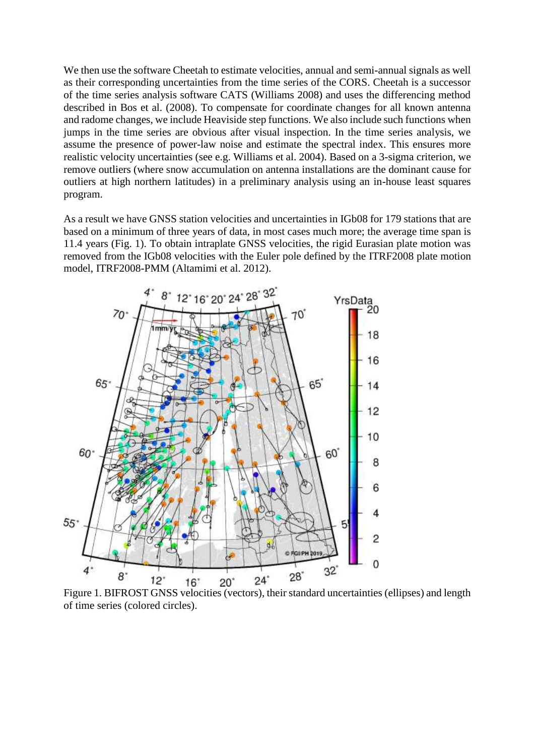We then use the software Cheetah to estimate velocities, annual and semi-annual signals as well as their corresponding uncertainties from the time series of the CORS. Cheetah is a successor of the time series analysis software CATS (Williams 2008) and uses the differencing method described in Bos et al. (2008). To compensate for coordinate changes for all known antenna and radome changes, we include Heaviside step functions. We also include such functions when jumps in the time series are obvious after visual inspection. In the time series analysis, we assume the presence of power-law noise and estimate the spectral index. This ensures more realistic velocity uncertainties (see e.g. Williams et al. 2004). Based on a 3-sigma criterion, we remove outliers (where snow accumulation on antenna installations are the dominant cause for outliers at high northern latitudes) in a preliminary analysis using an in-house least squares program.

As a result we have GNSS station velocities and uncertainties in IGb08 for 179 stations that are based on a minimum of three years of data, in most cases much more; the average time span is 11.4 years (Fig. 1). To obtain intraplate GNSS velocities, the rigid Eurasian plate motion was removed from the IGb08 velocities with the Euler pole defined by the ITRF2008 plate motion model, ITRF2008-PMM (Altamimi et al. 2012).



Figure 1. BIFROST GNSS velocities (vectors), their standard uncertainties (ellipses) and length of time series (colored circles).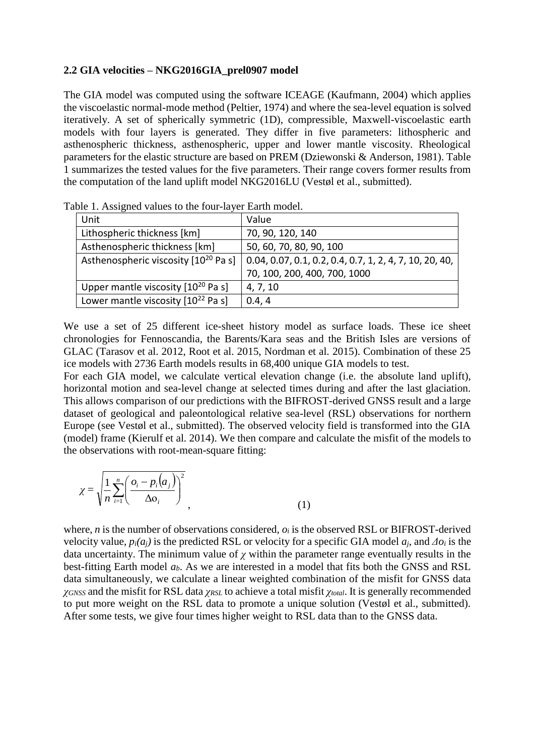#### **2.2 GIA velocities – NKG2016GIA\_prel0907 model**

The GIA model was computed using the software ICEAGE (Kaufmann, 2004) which applies the viscoelastic normal-mode method (Peltier, 1974) and where the sea-level equation is solved iteratively. A set of spherically symmetric (1D), compressible, Maxwell-viscoelastic earth models with four layers is generated. They differ in five parameters: lithospheric and asthenospheric thickness, asthenospheric, upper and lower mantle viscosity. Rheological parameters for the elastic structure are based on PREM (Dziewonski & Anderson, 1981). Table 1 summarizes the tested values for the five parameters. Their range covers former results from the computation of the land uplift model NKG2016LU (Vestøl et al., submitted).

| Unit                                             | Value                                                           |
|--------------------------------------------------|-----------------------------------------------------------------|
| Lithospheric thickness [km]                      | 70, 90, 120, 140                                                |
| Asthenospheric thickness [km]                    | 50, 60, 70, 80, 90, 100                                         |
| Asthenospheric viscosity [10 <sup>20</sup> Pa s] | $\vert$ 0.04, 0.07, 0.1, 0.2, 0.4, 0.7, 1, 2, 4, 7, 10, 20, 40, |
|                                                  | 70, 100, 200, 400, 700, 1000                                    |
| Upper mantle viscosity [10 <sup>20</sup> Pa s]   | 4, 7, 10                                                        |
| Lower mantle viscosity $[10^{22}$ Pa s]          | 0.4, 4                                                          |

Table 1. Assigned values to the four-layer Earth model.

We use a set of 25 different ice-sheet history model as surface loads. These ice sheet chronologies for Fennoscandia, the Barents/Kara seas and the British Isles are versions of GLAC (Tarasov et al. 2012, Root et al. 2015, Nordman et al. 2015). Combination of these 25 ice models with 2736 Earth models results in 68,400 unique GIA models to test.

For each GIA model, we calculate vertical elevation change (i.e. the absolute land uplift), horizontal motion and sea-level change at selected times during and after the last glaciation. This allows comparison of our predictions with the BIFROST-derived GNSS result and a large dataset of geological and paleontological relative sea-level (RSL) observations for northern Europe (see Vestøl et al., submitted). The observed velocity field is transformed into the GIA (model) frame (Kierulf et al. 2014). We then compare and calculate the misfit of the models to the observations with root-mean-square fitting:

$$
\chi = \sqrt{\frac{1}{n} \sum_{i=1}^{n} \left( \frac{o_i - p_i(a_j)}{\Delta o_i} \right)^2}
$$
\n(1)

where, *n* is the number of observations considered, *o<sup>i</sup>* is the observed RSL or BIFROST-derived velocity value,  $p_i(a_j)$  is the predicted RSL or velocity for a specific GIA model  $a_i$ , and  $\Delta o_i$  is the data uncertainty. The minimum value of  $\chi$  within the parameter range eventually results in the best-fitting Earth model *ab*. As we are interested in a model that fits both the GNSS and RSL data simultaneously, we calculate a linear weighted combination of the misfit for GNSS data *χGNSS* and the misfit for RSL data *χRSL* to achieve a total misfit *χtotal*. It is generally recommended to put more weight on the RSL data to promote a unique solution (Vestøl et al., submitted). After some tests, we give four times higher weight to RSL data than to the GNSS data.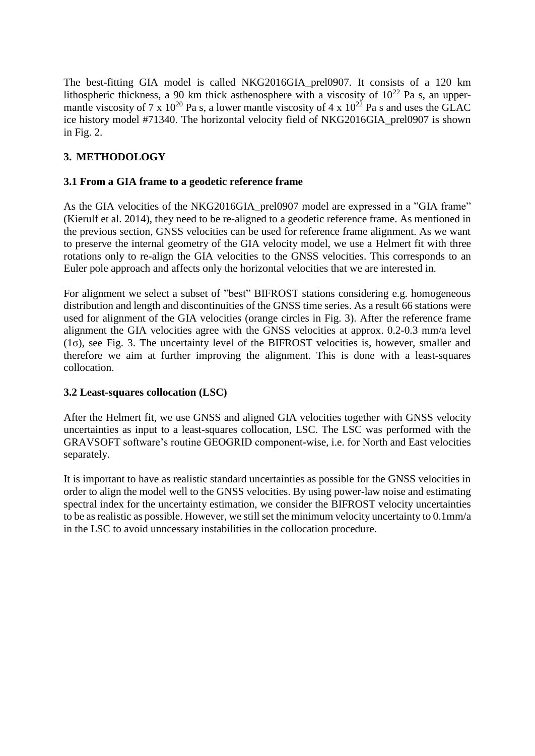The best-fitting GIA model is called NKG2016GIA\_prel0907. It consists of a 120 km lithospheric thickness, a 90 km thick asthenosphere with a viscosity of  $10^{22}$  Pa s, an uppermantle viscosity of 7 x  $10^{20}$  Pa s, a lower mantle viscosity of 4 x  $10^{22}$  Pa s and uses the GLAC ice history model #71340. The horizontal velocity field of NKG2016GIA\_prel0907 is shown in Fig. 2.

# **3. METHODOLOGY**

## **3.1 From a GIA frame to a geodetic reference frame**

As the GIA velocities of the NKG2016GIA\_prel0907 model are expressed in a "GIA frame" (Kierulf et al. 2014), they need to be re-aligned to a geodetic reference frame. As mentioned in the previous section, GNSS velocities can be used for reference frame alignment. As we want to preserve the internal geometry of the GIA velocity model, we use a Helmert fit with three rotations only to re-align the GIA velocities to the GNSS velocities. This corresponds to an Euler pole approach and affects only the horizontal velocities that we are interested in.

For alignment we select a subset of "best" BIFROST stations considering e.g. homogeneous distribution and length and discontinuities of the GNSS time series. As a result 66 stations were used for alignment of the GIA velocities (orange circles in Fig. 3). After the reference frame alignment the GIA velocities agree with the GNSS velocities at approx. 0.2-0.3 mm/a level (1σ), see Fig. 3. The uncertainty level of the BIFROST velocities is, however, smaller and therefore we aim at further improving the alignment. This is done with a least-squares collocation.

## **3.2 Least-squares collocation (LSC)**

After the Helmert fit, we use GNSS and aligned GIA velocities together with GNSS velocity uncertainties as input to a least-squares collocation, LSC. The LSC was performed with the GRAVSOFT software's routine GEOGRID component-wise, i.e. for North and East velocities separately.

It is important to have as realistic standard uncertainties as possible for the GNSS velocities in order to align the model well to the GNSS velocities. By using power-law noise and estimating spectral index for the uncertainty estimation, we consider the BIFROST velocity uncertainties to be as realistic as possible. However, we still set the minimum velocity uncertainty to 0.1mm/a in the LSC to avoid unncessary instabilities in the collocation procedure.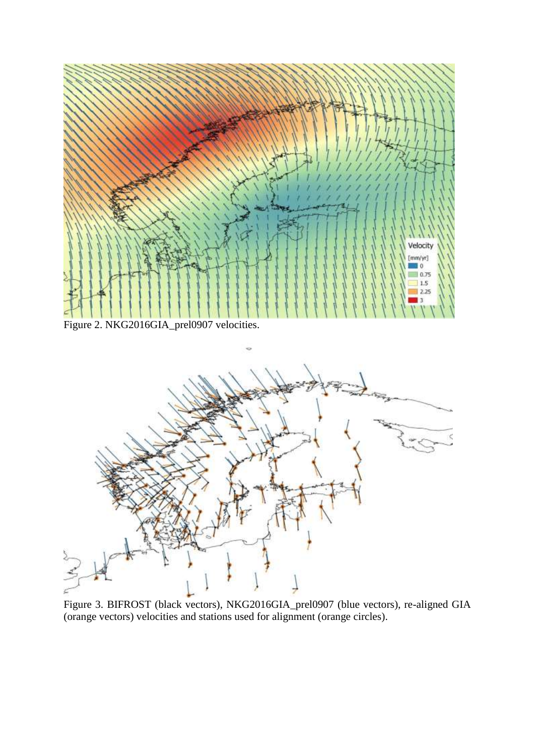

Figure 3. BIFROST (black vectors), NKG2016GIA\_prel0907 (blue vectors), re-aligned GIA (orange vectors) velocities and stations used for alignment (orange circles).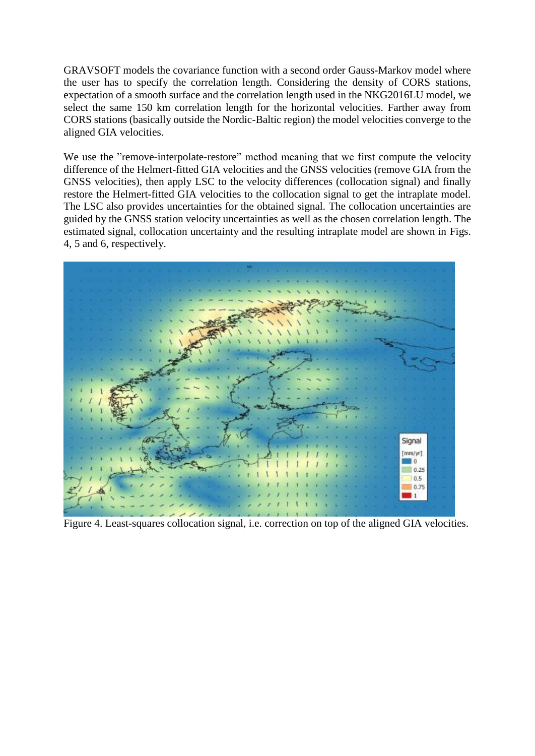GRAVSOFT models the covariance function with a second order Gauss-Markov model where the user has to specify the correlation length. Considering the density of CORS stations, expectation of a smooth surface and the correlation length used in the NKG2016LU model, we select the same 150 km correlation length for the horizontal velocities. Farther away from CORS stations (basically outside the Nordic-Baltic region) the model velocities converge to the aligned GIA velocities.

We use the "remove-interpolate-restore" method meaning that we first compute the velocity difference of the Helmert-fitted GIA velocities and the GNSS velocities (remove GIA from the GNSS velocities), then apply LSC to the velocity differences (collocation signal) and finally restore the Helmert-fitted GIA velocities to the collocation signal to get the intraplate model. The LSC also provides uncertainties for the obtained signal. The collocation uncertainties are guided by the GNSS station velocity uncertainties as well as the chosen correlation length. The estimated signal, collocation uncertainty and the resulting intraplate model are shown in Figs. 4, 5 and 6, respectively.



Figure 4. Least-squares collocation signal, i.e. correction on top of the aligned GIA velocities.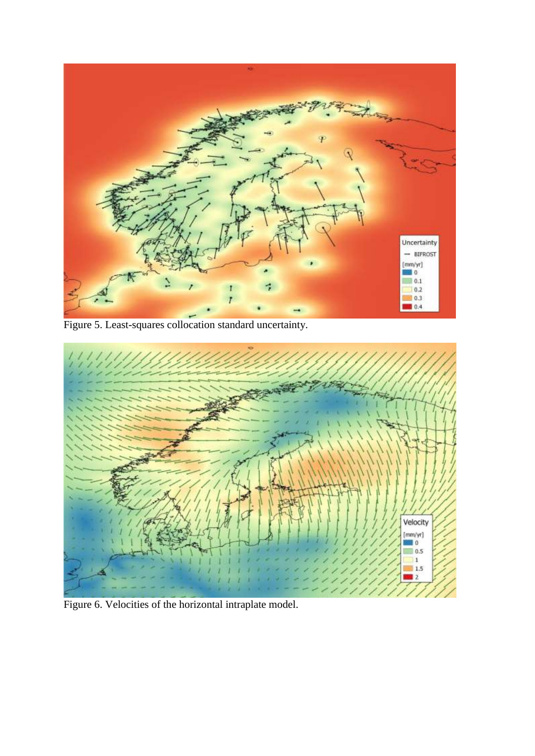

Figure 5. Least-squares collocation standard uncertainty.



Figure 6. Velocities of the horizontal intraplate model.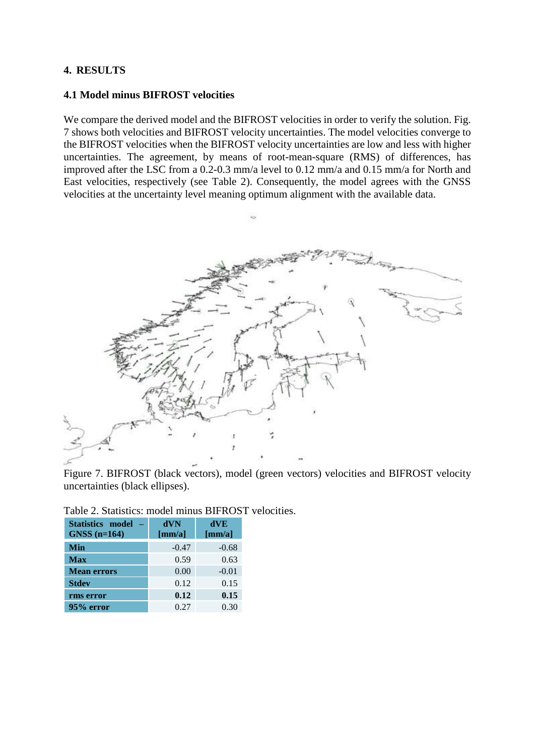### **4. RESULTS**

### **4.1 Model minus BIFROST velocities**

We compare the derived model and the BIFROST velocities in order to verify the solution. Fig. 7 shows both velocities and BIFROST velocity uncertainties. The model velocities converge to the BIFROST velocities when the BIFROST velocity uncertainties are low and less with higher uncertainties. The agreement, by means of root-mean-square (RMS) of differences, has improved after the LSC from a 0.2-0.3 mm/a level to 0.12 mm/a and 0.15 mm/a for North and East velocities, respectively (see Table 2). Consequently, the model agrees with the GNSS velocities at the uncertainty level meaning optimum alignment with the available data.



Figure 7. BIFROST (black vectors), model (green vectors) velocities and BIFROST velocity uncertainties (black ellipses).

| <b>Statistics model</b> | dVN            | dVE            |
|-------------------------|----------------|----------------|
| $GNSS$ (n=164)          | ${\rm [mm/a]}$ | ${\rm [mm/a]}$ |
| Min                     | $-0.47$        | $-0.68$        |
| <b>Max</b>              | 0.59           | 0.63           |
| <b>Mean errors</b>      | 0.00           | $-0.01$        |
| <b>Stdev</b>            | 0.12           | 0.15           |
| rms error               | 0.12           | 0.15           |
| 95% error               | 0.27           | 0.30           |

Table 2. Statistics: model minus BIFROST velocities.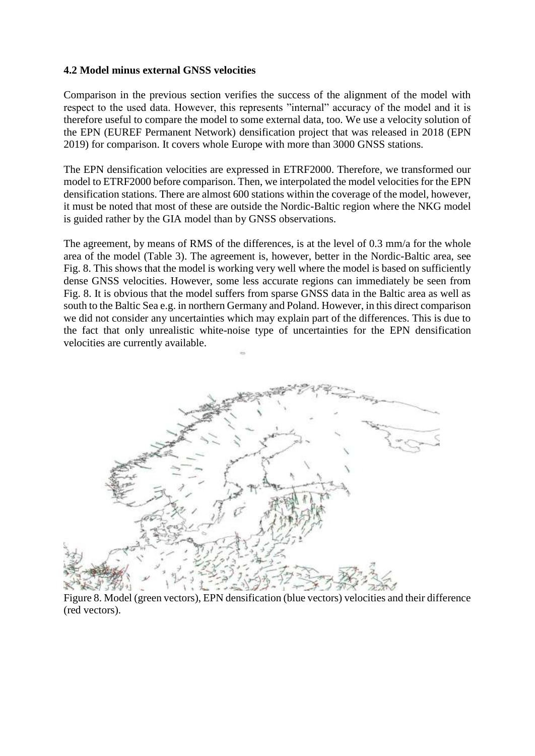### **4.2 Model minus external GNSS velocities**

Comparison in the previous section verifies the success of the alignment of the model with respect to the used data. However, this represents "internal" accuracy of the model and it is therefore useful to compare the model to some external data, too. We use a velocity solution of the EPN (EUREF Permanent Network) densification project that was released in 2018 (EPN 2019) for comparison. It covers whole Europe with more than 3000 GNSS stations.

The EPN densification velocities are expressed in ETRF2000. Therefore, we transformed our model to ETRF2000 before comparison. Then, we interpolated the model velocities for the EPN densification stations. There are almost 600 stations within the coverage of the model, however, it must be noted that most of these are outside the Nordic-Baltic region where the NKG model is guided rather by the GIA model than by GNSS observations.

The agreement, by means of RMS of the differences, is at the level of 0.3 mm/a for the whole area of the model (Table 3). The agreement is, however, better in the Nordic-Baltic area, see Fig. 8. This shows that the model is working very well where the model is based on sufficiently dense GNSS velocities. However, some less accurate regions can immediately be seen from Fig. 8. It is obvious that the model suffers from sparse GNSS data in the Baltic area as well as south to the Baltic Sea e.g. in northern Germany and Poland. However, in this direct comparison we did not consider any uncertainties which may explain part of the differences. This is due to the fact that only unrealistic white-noise type of uncertainties for the EPN densification velocities are currently available.



Figure 8. Model (green vectors), EPN densification (blue vectors) velocities and their difference (red vectors).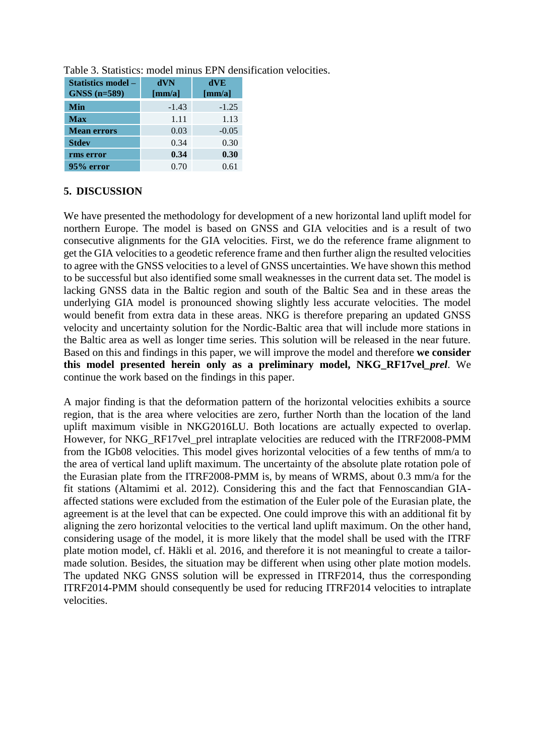| Statistics model –<br><b>GNSS</b> (n=589) | dVN<br>${\rm [mm/a]}$ | dVE<br>${\rm [mm/a]}$ |
|-------------------------------------------|-----------------------|-----------------------|
| Min                                       | $-1.43$               | $-1.25$               |
| <b>Max</b>                                | 1.11                  | 1.13                  |
| <b>Mean errors</b>                        | 0.03                  | $-0.05$               |
| <b>Stdev</b>                              | 0.34                  | 0.30                  |
| rms error                                 | 0.34                  | 0.30                  |
| 95% error                                 | 0.70                  | 0.61                  |

Table 3. Statistics: model minus EPN densification velocities.

# **5. DISCUSSION**

We have presented the methodology for development of a new horizontal land uplift model for northern Europe. The model is based on GNSS and GIA velocities and is a result of two consecutive alignments for the GIA velocities. First, we do the reference frame alignment to get the GIA velocities to a geodetic reference frame and then further align the resulted velocities to agree with the GNSS velocities to a level of GNSS uncertainties. We have shown this method to be successful but also identified some small weaknesses in the current data set. The model is lacking GNSS data in the Baltic region and south of the Baltic Sea and in these areas the underlying GIA model is pronounced showing slightly less accurate velocities. The model would benefit from extra data in these areas. NKG is therefore preparing an updated GNSS velocity and uncertainty solution for the Nordic-Baltic area that will include more stations in the Baltic area as well as longer time series. This solution will be released in the near future. Based on this and findings in this paper, we will improve the model and therefore **we consider this model presented herein only as a preliminary model, NKG\_RF17vel***\_prel*. We continue the work based on the findings in this paper.

A major finding is that the deformation pattern of the horizontal velocities exhibits a source region, that is the area where velocities are zero, further North than the location of the land uplift maximum visible in NKG2016LU. Both locations are actually expected to overlap. However, for NKG\_RF17vel\_prel intraplate velocities are reduced with the ITRF2008-PMM from the IGb08 velocities. This model gives horizontal velocities of a few tenths of mm/a to the area of vertical land uplift maximum. The uncertainty of the absolute plate rotation pole of the Eurasian plate from the ITRF2008-PMM is, by means of WRMS, about 0.3 mm/a for the fit stations (Altamimi et al. 2012). Considering this and the fact that Fennoscandian GIAaffected stations were excluded from the estimation of the Euler pole of the Eurasian plate, the agreement is at the level that can be expected. One could improve this with an additional fit by aligning the zero horizontal velocities to the vertical land uplift maximum. On the other hand, considering usage of the model, it is more likely that the model shall be used with the ITRF plate motion model, cf. Häkli et al. 2016, and therefore it is not meaningful to create a tailormade solution. Besides, the situation may be different when using other plate motion models. The updated NKG GNSS solution will be expressed in ITRF2014, thus the corresponding ITRF2014-PMM should consequently be used for reducing ITRF2014 velocities to intraplate velocities.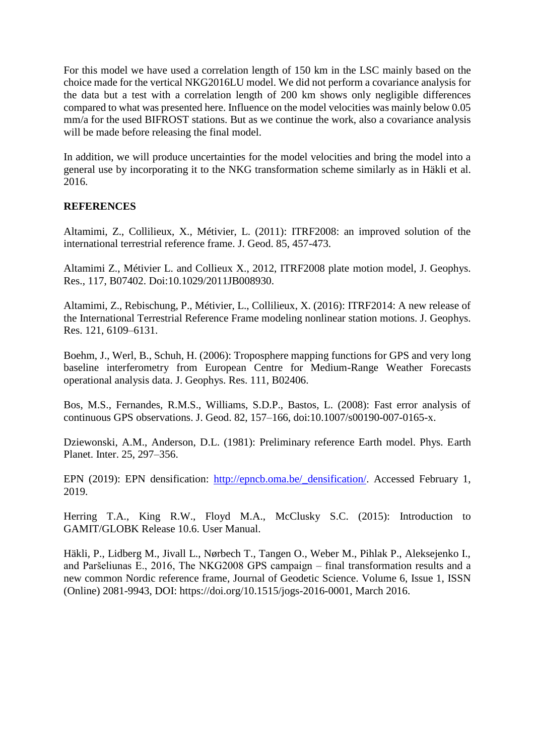For this model we have used a correlation length of 150 km in the LSC mainly based on the choice made for the vertical NKG2016LU model. We did not perform a covariance analysis for the data but a test with a correlation length of 200 km shows only negligible differences compared to what was presented here. Influence on the model velocities was mainly below 0.05 mm/a for the used BIFROST stations. But as we continue the work, also a covariance analysis will be made before releasing the final model.

In addition, we will produce uncertainties for the model velocities and bring the model into a general use by incorporating it to the NKG transformation scheme similarly as in Häkli et al. 2016.

### **REFERENCES**

Altamimi, Z., Collilieux, X., Métivier, L. (2011): ITRF2008: an improved solution of the international terrestrial reference frame. J. Geod. 85, 457-473.

Altamimi Z., Métivier L. and Collieux X., 2012, ITRF2008 plate motion model, J. Geophys. Res., 117, B07402. Doi:10.1029/2011JB008930.

Altamimi, Z., Rebischung, P., Métivier, L., Collilieux, X. (2016): ITRF2014: A new release of the International Terrestrial Reference Frame modeling nonlinear station motions. J. Geophys. Res. 121, 6109–6131.

Boehm, J., Werl, B., Schuh, H. (2006): Troposphere mapping functions for GPS and very long baseline interferometry from European Centre for Medium-Range Weather Forecasts operational analysis data. J. Geophys. Res. 111, B02406.

Bos, M.S., Fernandes, R.M.S., Williams, S.D.P., Bastos, L. (2008): Fast error analysis of continuous GPS observations. J. Geod. 82, 157–166, doi:10.1007/s00190-007-0165-x.

Dziewonski, A.M., Anderson, D.L. (1981): Preliminary reference Earth model. Phys. Earth Planet. Inter. 25, 297–356.

EPN (2019): EPN densification: [http://epncb.oma.be/\\_densification/.](http://epncb.oma.be/_densification/) Accessed February 1, 2019.

Herring T.A., King R.W., Floyd M.A., McClusky S.C. (2015): Introduction to GAMIT/GLOBK Release 10.6. User Manual.

Häkli, P., Lidberg M., Jivall L., Nørbech T., Tangen O., Weber M., Pihlak P., Aleksejenko I., and Paršeliunas E., 2016, The NKG2008 GPS campaign – final transformation results and a new common Nordic reference frame, Journal of Geodetic Science. Volume 6, Issue 1, ISSN (Online) 2081-9943, DOI: https://doi.org/10.1515/jogs-2016-0001, March 2016.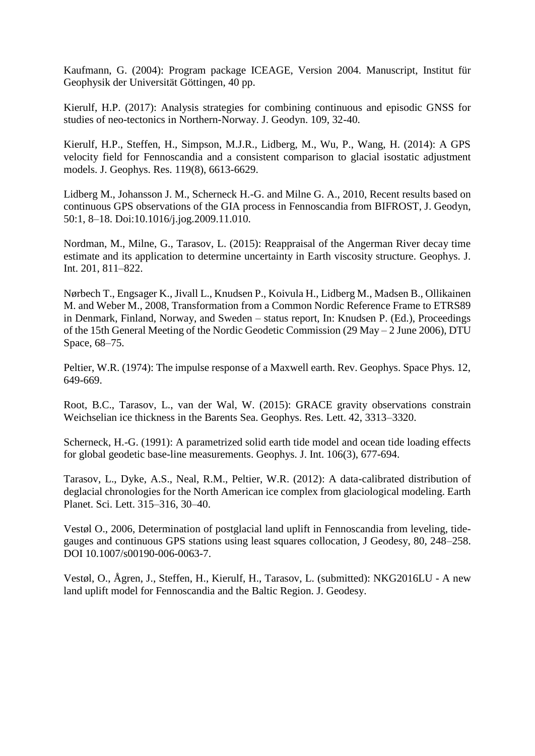Kaufmann, G. (2004): Program package ICEAGE, Version 2004. Manuscript, Institut für Geophysik der Universität Göttingen, 40 pp.

Kierulf, H.P. (2017): Analysis strategies for combining continuous and episodic GNSS for studies of neo-tectonics in Northern-Norway. J. Geodyn. 109, 32-40.

Kierulf, H.P., Steffen, H., Simpson, M.J.R., Lidberg, M., Wu, P., Wang, H. (2014): A GPS velocity field for Fennoscandia and a consistent comparison to glacial isostatic adjustment models. J. Geophys. Res. 119(8), 6613-6629.

Lidberg M., Johansson J. M., Scherneck H.-G. and Milne G. A., 2010, Recent results based on continuous GPS observations of the GIA process in Fennoscandia from BIFROST, J. Geodyn, 50:1, 8–18. Doi:10.1016/j.jog.2009.11.010.

Nordman, M., Milne, G., Tarasov, L. (2015): Reappraisal of the Angerman River decay time estimate and its application to determine uncertainty in Earth viscosity structure. Geophys. J. Int. 201, 811–822.

Nørbech T., Engsager K., Jivall L., Knudsen P., Koivula H., Lidberg M., Madsen B., Ollikainen M. and Weber M., 2008, Transformation from a Common Nordic Reference Frame to ETRS89 in Denmark, Finland, Norway, and Sweden – status report, In: Knudsen P. (Ed.), Proceedings of the 15th General Meeting of the Nordic Geodetic Commission (29 May – 2 June 2006), DTU Space, 68–75.

Peltier, W.R. (1974): The impulse response of a Maxwell earth. Rev. Geophys. Space Phys. 12, 649-669.

Root, B.C., Tarasov, L., van der Wal, W. (2015): GRACE gravity observations constrain Weichselian ice thickness in the Barents Sea. Geophys. Res. Lett. 42, 3313–3320.

Scherneck, H.-G. (1991): A parametrized solid earth tide model and ocean tide loading effects for global geodetic base-line measurements. Geophys. J. Int. 106(3), 677-694.

Tarasov, L., Dyke, A.S., Neal, R.M., Peltier, W.R. (2012): A data-calibrated distribution of deglacial chronologies for the North American ice complex from glaciological modeling. Earth Planet. Sci. Lett. 315–316, 30–40.

Vestøl O., 2006, Determination of postglacial land uplift in Fennoscandia from leveling, tidegauges and continuous GPS stations using least squares collocation, J Geodesy, 80, 248–258. DOI 10.1007/s00190-006-0063-7.

Vestøl, O., Ågren, J., Steffen, H., Kierulf, H., Tarasov, L. (submitted): NKG2016LU - A new land uplift model for Fennoscandia and the Baltic Region. J. Geodesy.